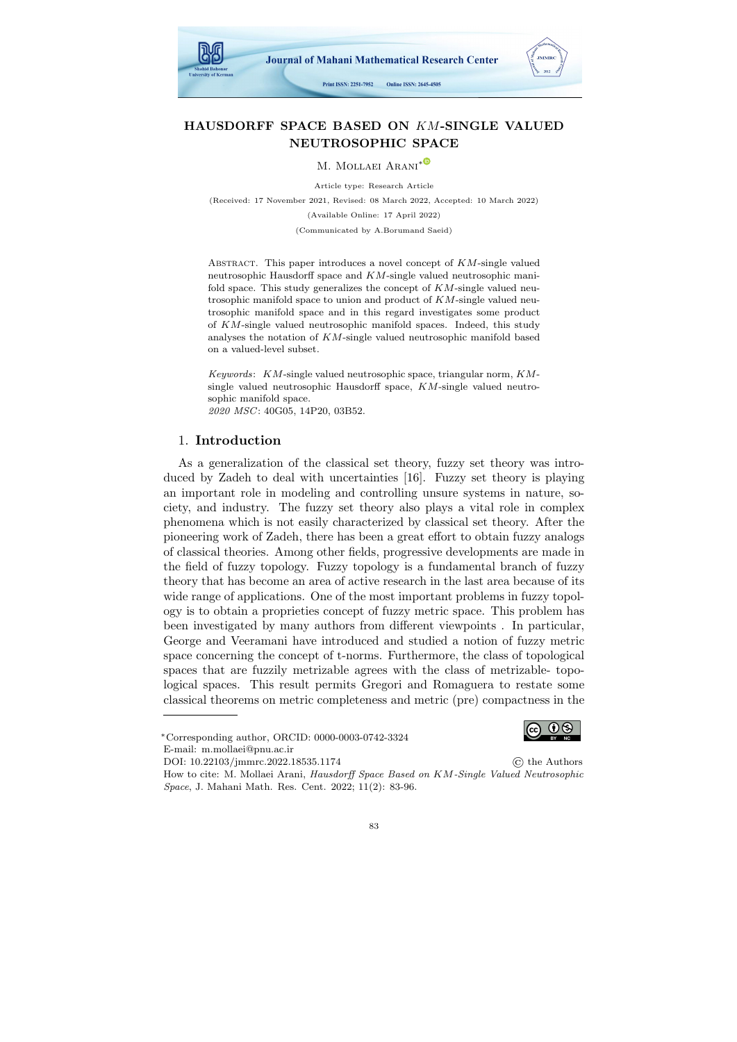

# HAUSDORFF SPACE BASED ON KM-SINGLE VALUED NEUTROSOPHIC SPACE

M. MOLLAEI ARANI<sup>\*©</sup>

Article type: Research Article (Received: 17 November 2021, Revised: 08 March 2022, Accepted: 10 March 2022) (Available Online: 17 April 2022) (Communicated by A.Borumand Saeid)

ABSTRACT. This paper introduces a novel concept of  $KM$ -single valued neutrosophic Hausdorff space and KM-single valued neutrosophic manifold space. This study generalizes the concept of  $KM$ -single valued neutrosophic manifold space to union and product of  $KM$ -single valued neutrosophic manifold space and in this regard investigates some product of KM-single valued neutrosophic manifold spaces. Indeed, this study analyses the notation of KM-single valued neutrosophic manifold based on a valued-level subset.

Keywords:  $KM$ -single valued neutrosophic space, triangular norm,  $KM$ single valued neutrosophic Hausdorff space, KM-single valued neutrosophic manifold space. 2020 MSC: 40G05, 14P20, 03B52.

### 1. Introduction

As a generalization of the classical set theory, fuzzy set theory was introduced by Zadeh to deal with uncertainties [\[16\]](#page-13-0). Fuzzy set theory is playing an important role in modeling and controlling unsure systems in nature, society, and industry. The fuzzy set theory also plays a vital role in complex phenomena which is not easily characterized by classical set theory. After the pioneering work of Zadeh, there has been a great effort to obtain fuzzy analogs of classical theories. Among other fields, progressive developments are made in the field of fuzzy topology. Fuzzy topology is a fundamental branch of fuzzy theory that has become an area of active research in the last area because of its wide range of applications. One of the most important problems in fuzzy topology is to obtain a proprieties concept of fuzzy metric space. This problem has been investigated by many authors from different viewpoints . In particular, George and Veeramani have introduced and studied a notion of fuzzy metric space concerning the concept of t-norms. Furthermore, the class of topological spaces that are fuzzily metrizable agrees with the class of metrizable- topological spaces. This result permits Gregori and Romaguera to restate some classical theorems on metric completeness and metric (pre) compactness in the

DOI: [10.22103/jmmrc.2022.18535.1174](https://jmmrc.uk.ac.ir/article_3259.html) © the Authors How to cite: M. Mollaei Arani, Hausdorff Space Based on KM-Single Valued Neutrosophic Space, J. Mahani Math. Res. Cent. 2022; 11(2): 83-96.



<sup>∗</sup>Corresponding author, ORCID: 0000-0003-0742-3324 E-mail: m.mollaei@pnu.ac.ir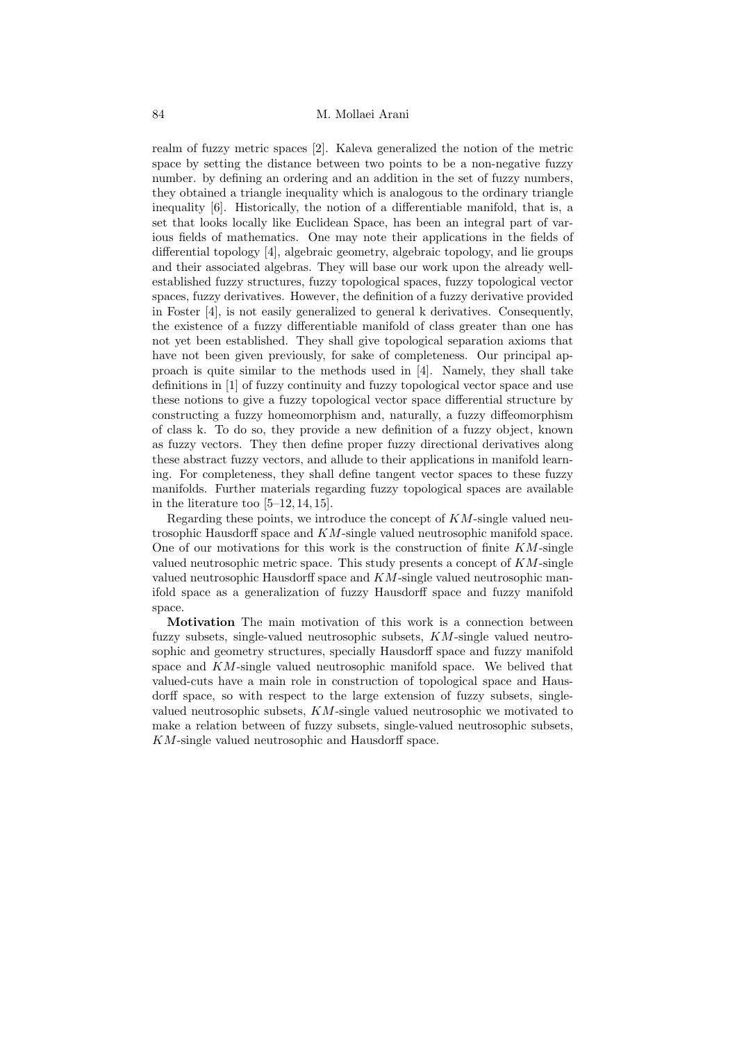realm of fuzzy metric spaces [\[2\]](#page-12-0). Kaleva generalized the notion of the metric space by setting the distance between two points to be a non-negative fuzzy number. by defining an ordering and an addition in the set of fuzzy numbers, they obtained a triangle inequality which is analogous to the ordinary triangle inequality [\[6\]](#page-12-1). Historically, the notion of a differentiable manifold, that is, a set that looks locally like Euclidean Space, has been an integral part of various fields of mathematics. One may note their applications in the fields of differential topology [\[4\]](#page-12-2), algebraic geometry, algebraic topology, and lie groups and their associated algebras. They will base our work upon the already wellestablished fuzzy structures, fuzzy topological spaces, fuzzy topological vector spaces, fuzzy derivatives. However, the definition of a fuzzy derivative provided in Foster [\[4\]](#page-12-2), is not easily generalized to general k derivatives. Consequently, the existence of a fuzzy differentiable manifold of class greater than one has not yet been established. They shall give topological separation axioms that have not been given previously, for sake of completeness. Our principal approach is quite similar to the methods used in [\[4\]](#page-12-2). Namely, they shall take definitions in [\[1\]](#page-12-3) of fuzzy continuity and fuzzy topological vector space and use these notions to give a fuzzy topological vector space differential structure by constructing a fuzzy homeomorphism and, naturally, a fuzzy diffeomorphism of class k. To do so, they provide a new definition of a fuzzy object, known as fuzzy vectors. They then define proper fuzzy directional derivatives along these abstract fuzzy vectors, and allude to their applications in manifold learning. For completeness, they shall define tangent vector spaces to these fuzzy manifolds. Further materials regarding fuzzy topological spaces are available in the literature too [\[5–](#page-12-4)[12,](#page-13-1) [14,](#page-13-2) [15\]](#page-13-3).

Regarding these points, we introduce the concept of  $KM$ -single valued neutrosophic Hausdorff space and KM-single valued neutrosophic manifold space. One of our motivations for this work is the construction of finite  $KM$ -single valued neutrosophic metric space. This study presents a concept of  $KM$ -single valued neutrosophic Hausdorff space and  $KM$ -single valued neutrosophic manifold space as a generalization of fuzzy Hausdorff space and fuzzy manifold space.

Motivation The main motivation of this work is a connection between fuzzy subsets, single-valued neutrosophic subsets, KM-single valued neutrosophic and geometry structures, specially Hausdorff space and fuzzy manifold space and KM-single valued neutrosophic manifold space. We belived that valued-cuts have a main role in construction of topological space and Hausdorff space, so with respect to the large extension of fuzzy subsets, singlevalued neutrosophic subsets, KM-single valued neutrosophic we motivated to make a relation between of fuzzy subsets, single-valued neutrosophic subsets, KM-single valued neutrosophic and Hausdorff space.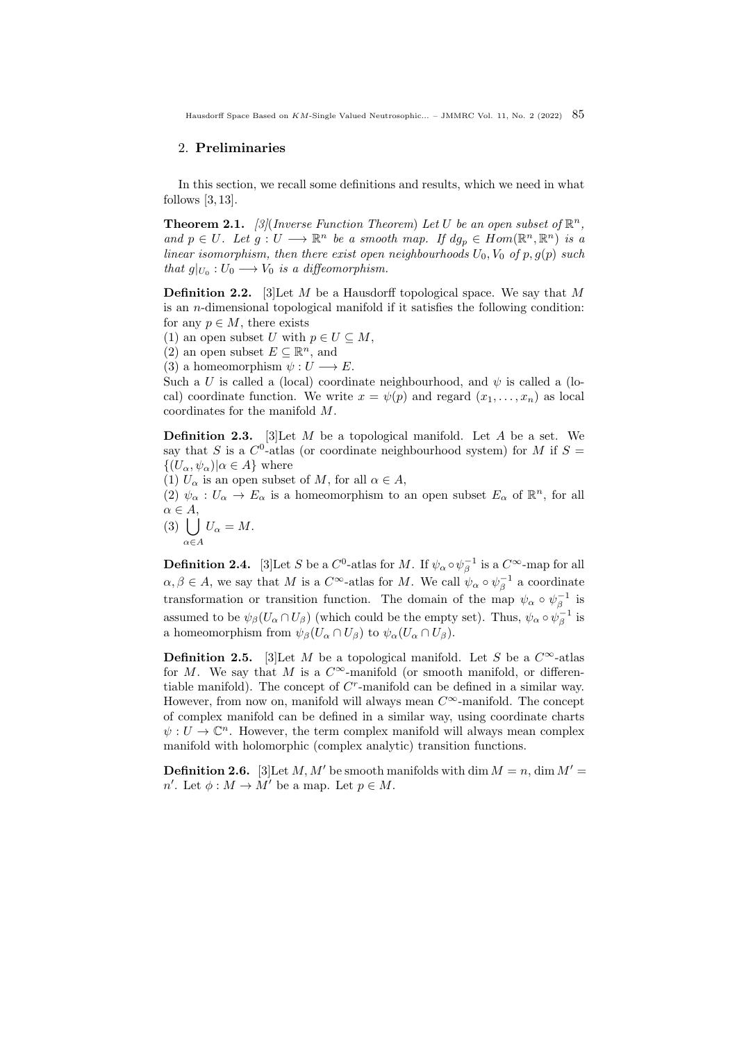## 2. Preliminaries

In this section, we recall some definitions and results, which we need in what follows  $[3, 13]$  $[3, 13]$ .

**Theorem 2.1.** [\[3\]](#page-12-5) (Inverse Function Theorem) Let U be an open subset of  $\mathbb{R}^n$ , and  $p \in U$ . Let  $g: U \longrightarrow \mathbb{R}^n$  be a smooth map. If  $dg_p \in Hom(\mathbb{R}^n, \mathbb{R}^n)$  is a linear isomorphism, then there exist open neighbourhoods  $U_0$ ,  $V_0$  of p,  $g(p)$  such that  $g|_{U_0}: U_0 \longrightarrow V_0$  is a diffeomorphism.

**Definition 2.2.** [\[3\]](#page-12-5) Let M be a Hausdorff topological space. We say that M is an n-dimensional topological manifold if it satisfies the following condition: for any  $p \in M$ , there exists

(1) an open subset U with  $p \in U \subseteq M$ ,

(2) an open subset  $E \subseteq \mathbb{R}^n$ , and

(3) a homeomorphism  $\psi: U \longrightarrow E$ .

Such a U is called a (local) coordinate neighbourhood, and  $\psi$  is called a (local) coordinate function. We write  $x = \psi(p)$  and regard  $(x_1, \ldots, x_n)$  as local coordinates for the manifold M.

**Definition 2.3.** [\[3\]](#page-12-5) Let  $M$  be a topological manifold. Let  $A$  be a set. We say that S is a  $C^0$ -atlas (or coordinate neighbourhood system) for M if  $S =$  $\{(U_{\alpha}, \psi_{\alpha})|\alpha \in A\}$  where

(1)  $U_{\alpha}$  is an open subset of M, for all  $\alpha \in A$ ,

(2)  $\psi_{\alpha}: U_{\alpha} \to E_{\alpha}$  is a homeomorphism to an open subset  $E_{\alpha}$  of  $\mathbb{R}^n$ , for all  $\alpha \in A$ ,

$$
(3)\bigcup_{\alpha\in A}U_{\alpha}=M.
$$

**Definition 2.4.** [\[3\]](#page-12-5) Let S be a  $C^0$ -atlas for M. If  $\psi_\alpha \circ \psi_\beta^{-1}$  is a  $C^\infty$ -map for all  $\alpha, \beta \in A$ , we say that M is a  $C^{\infty}$ -atlas for M. We call  $\psi_{\alpha} \circ \psi_{\beta}^{-1}$  a coordinate transformation or transition function. The domain of the map  $\psi_{\alpha} \circ \psi_{\beta}^{-1}$  is assumed to be  $\psi_\beta(U_\alpha \cap U_\beta)$  (which could be the empty set). Thus,  $\psi_\alpha \circ \psi_\beta^{-1}$  is a homeomorphism from  $\psi_{\beta}(U_{\alpha} \cap U_{\beta})$  to  $\psi_{\alpha}(U_{\alpha} \cap U_{\beta})$ .

**Definition 2.5.** [\[3\]](#page-12-5)Let M be a topological manifold. Let S be a  $C^{\infty}$ -atlas for M. We say that M is a  $C^{\infty}$ -manifold (or smooth manifold, or differentiable manifold). The concept of  $C<sup>r</sup>$ -manifold can be defined in a similar way. However, from now on, manifold will always mean  $C^{\infty}$ -manifold. The concept of complex manifold can be defined in a similar way, using coordinate charts  $\psi: U \to \mathbb{C}^n$ . However, the term complex manifold will always mean complex manifold with holomorphic (complex analytic) transition functions.

**Definition 2.6.** [\[3\]](#page-12-5) Let M, M' be smooth manifolds with dim  $M = n$ , dim  $M' =$  $n'.$  Let  $\phi : M \to M'$  be a map. Let  $p \in M$ .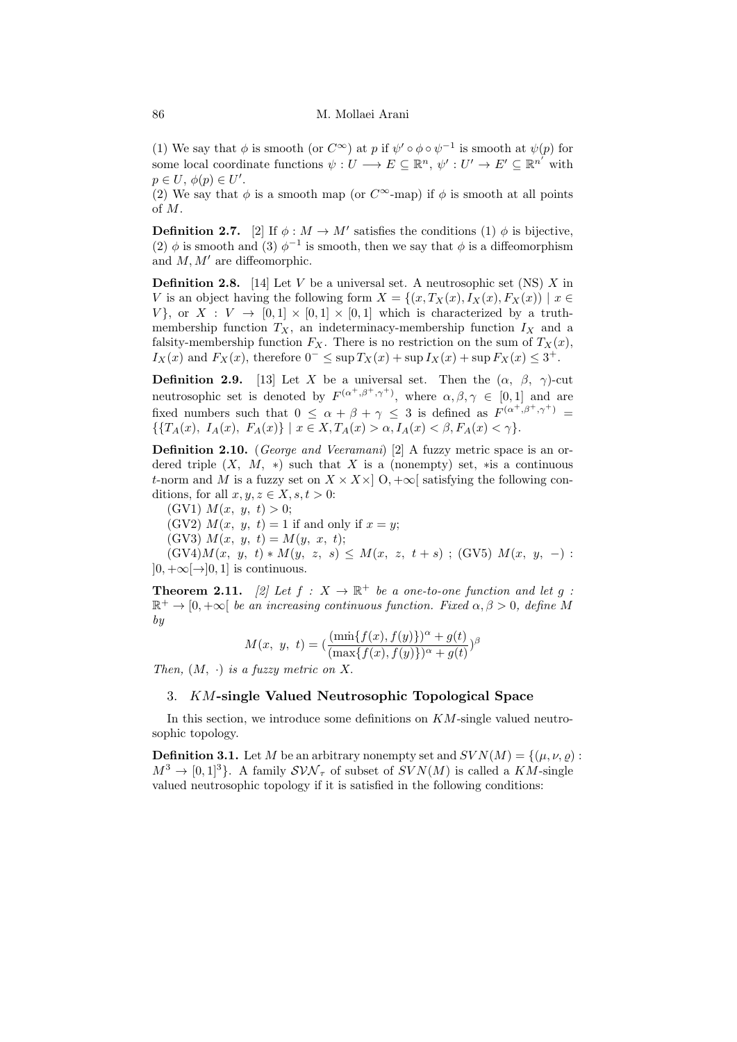(1) We say that  $\phi$  is smooth (or  $C^{\infty}$ ) at p if  $\psi' \circ \phi \circ \psi^{-1}$  is smooth at  $\psi(p)$  for some local coordinate functions  $\psi: U \longrightarrow E \subseteq \mathbb{R}^n$ ,  $\psi': U' \longrightarrow E' \subseteq \mathbb{R}^{n'}$  with  $p \in U, \phi(p) \in U'.$ 

(2) We say that  $\phi$  is a smooth map (or  $C^{\infty}$ -map) if  $\phi$  is smooth at all points of M.

**Definition 2.7.** [\[2\]](#page-12-0) If  $\phi : M \to M'$  satisfies the conditions (1)  $\phi$  is bijective, (2)  $\phi$  is smooth and (3)  $\phi^{-1}$  is smooth, then we say that  $\phi$  is a diffeomorphism and  $M, M'$  are diffeomorphic.

**Definition 2.8.** [\[14\]](#page-13-2) Let V be a universal set. A neutrosophic set (NS) X in V is an object having the following form  $X = \{(x, T_X(x), I_X(x), F_X(x)) \mid x \in$  $V$ , or  $X: V \rightarrow [0,1] \times [0,1] \times [0,1]$  which is characterized by a truthmembership function  $T_X$ , an indeterminacy-membership function  $I_X$  and a falsity-membership function  $F_X$ . There is no restriction on the sum of  $T_X(x)$ ,  $I_X(x)$  and  $F_X(x)$ , therefore  $0^- \leq \sup T_X(x) + \sup I_X(x) + \sup F_X(x) \leq 3^+$ .

**Definition 2.9.** [\[13\]](#page-13-4) Let X be a universal set. Then the  $(\alpha, \beta, \gamma)$ -cut neutrosophic set is denoted by  $F^{(\alpha^+, \beta^+, \gamma^+)}$ , where  $\alpha, \beta, \gamma \in [0, 1]$  and are fixed numbers such that  $0 \leq \alpha + \beta + \gamma \leq 3$  is defined as  $F^{(\alpha^+, \beta^+, \gamma^+)}$  $\{T_A(x), I_A(x), F_A(x)\} | x \in X, T_A(x) > \alpha, I_A(x) < \beta, F_A(x) < \gamma\}.$ 

Definition 2.10. (George and Veeramani) [\[2\]](#page-12-0) A fuzzy metric space is an ordered triple  $(X, M, *)$  such that X is a (nonempty) set, \*is a continuous t-norm and M is a fuzzy set on  $X \times X \times |0, +\infty|$  satisfying the following conditions, for all  $x, y, z \in X, s, t > 0$ :

(GV1)  $M(x, y, t) > 0$ ;

(GV2)  $M(x, y, t) = 1$  if and only if  $x = y$ ;

(GV3)  $M(x, y, t) = M(y, x, t);$ 

 $(GV4)M(x, y, t) * M(y, z, s) \leq M(x, z, t + s)$ ; (GV5)  $M(x, y, -)$ :  $]0, +\infty[\rightarrow]0, 1]$  is continuous.

**Theorem 2.11.** [\[2\]](#page-12-0) Let  $f : X \to \mathbb{R}^+$  be a one-to-one function and let g:  $\mathbb{R}^+ \to [0, +\infty[$  be an increasing continuous function. Fixed  $\alpha, \beta > 0$ , define M by

$$
M(x, y, t) = (\frac{(\min\{f(x), f(y)\})^{\alpha} + g(t)}{(\max\{f(x), f(y)\})^{\alpha} + g(t)})^{\beta}
$$

Then,  $(M, \cdot)$  is a fuzzy metric on X.

# 3. KM-single Valued Neutrosophic Topological Space

In this section, we introduce some definitions on  $KM$ -single valued neutrosophic topology.

**Definition 3.1.** Let M be an arbitrary nonempty set and  $SVN(M) = \{(\mu, \nu, \varrho) :$  $M^3 \to [0, 1]^3$ . A family  $SVM_\tau$  of subset of  $SVN(M)$  is called a KM-single valued neutrosophic topology if it is satisfied in the following conditions: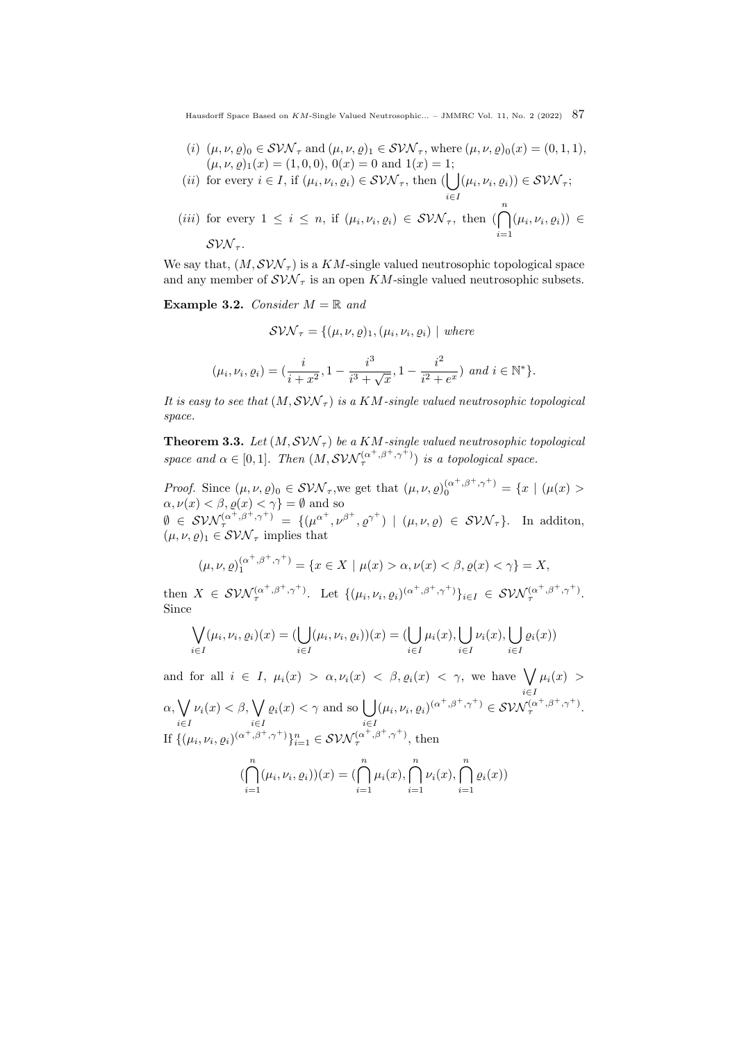- (i)  $(\mu, \nu, \rho)_0 \in \mathcal{SVN}_{\tau}$  and  $(\mu, \nu, \rho)_1 \in \mathcal{SVN}_{\tau}$ , where  $(\mu, \nu, \rho)_0(x) = (0, 1, 1),$  $(\mu, \nu, \varrho)_1(x) = (1, 0, 0), 0(x) = 0$  and  $1(x) = 1;$
- (*ii*) for every  $i \in I$ , if  $(\mu_i, \nu_i, \varrho_i) \in \mathcal{SVN}_{\tau}$ , then ( i∈I  $(\mu_i, \nu_i, \varrho_i)) \in \mathcal{S} \mathcal{VN}_\tau;$
- (*iii*) for every  $1 \leq i \leq n$ , if  $(\mu_i, \nu_i, \varrho_i) \in \mathcal{SW}_{\tau}$ , then  $(\bigcap^n)$  $i=1$  $(\mu_i, \nu_i, \varrho_i)) \in$  $SVM_{\tau}$ .

We say that,  $(M, SVM_{\tau})$  is a KM-single valued neutrosophic topological space and any member of  $SVM_{\tau}$  is an open KM-single valued neutrosophic subsets.

, where  $\mathcal{N}$ 

<span id="page-4-0"></span>Example 3.2. Consider  $M = \mathbb{R}$  and

$$
\mathcal{SVM}_{\tau} = \{(\mu, \nu, \varrho)_1, (\mu_i, \nu_i, \varrho_i) \mid \text{where}
$$
  

$$
(\mu_i, \nu_i, \varrho_i) = (\frac{i}{i + x^2}, 1 - \frac{i^3}{i^3 + \sqrt{x}}, 1 - \frac{i^2}{i^2 + e^x}) \text{ and } i \in \mathbb{N}^*\}.
$$

It is easy to see that  $(M, SVM_{\tau})$  is a KM-single valued neutrosophic topological space.

<span id="page-4-1"></span>**Theorem 3.3.** Let  $(M, SVM_{\tau})$  be a KM-single valued neutrosophic topological space and  $\alpha \in [0,1]$ . Then  $(M, \mathcal{SVN}_{\tau}^{(\alpha^+, \beta^+, \gamma^+)})$  is a topological space.

*Proof.* Since  $(\mu, \nu, \rho)_0 \in \mathcal{SVN}_{\tau}$ , we get that  $(\mu, \nu, \rho)_0^{(\alpha^+, \beta^+, \gamma^+)} = \{x \mid (\mu(x) >$  $\alpha,\nu(x)<\beta,\varrho(x)<\gamma\}=\emptyset$  and so  $\emptyset \in \mathcal{SW}^{(\alpha^+, \beta^+, \gamma^+)} = \{(\mu^{\alpha^+}, \nu^{\beta^+}, \varrho^{\gamma^+}) \mid (\mu, \nu, \varrho) \in \mathcal{SWN}_\tau\}.$  In addition,  $(\mu, \nu, \rho)_1 \in \mathcal{SVN}_{\tau}$  implies that

$$
(\mu, \nu, \varrho)^{(\alpha^+, \beta^+, \gamma^+)} = \{ x \in X \mid \mu(x) > \alpha, \nu(x) < \beta, \varrho(x) < \gamma \} = X,
$$

then  $X \in \mathcal{SVM}_{\tau}^{(\alpha^+,\beta^+,\gamma^+)}$ . Let  $\{(\mu_i,\nu_i,\varrho_i)^{(\alpha^+,\beta^+,\gamma^+)}\}_{i\in I} \in \mathcal{SVM}_{\tau}^{(\alpha^+,\beta^+,\gamma^+)}$ . Since

$$
\bigvee_{i \in I} (\mu_i, \nu_i, \varrho_i)(x) = (\bigcup_{i \in I} (\mu_i, \nu_i, \varrho_i))(x) = (\bigcup_{i \in I} \mu_i(x), \bigcup_{i \in I} \nu_i(x), \bigcup_{i \in I} \varrho_i(x))
$$

and for all  $i \in I$ ,  $\mu_i(x) > \alpha, \nu_i(x) < \beta, \varrho_i(x) < \gamma$ , we have  $\bigvee \mu_i(x) > \gamma$ i∈I  $\alpha, \bigvee$ i∈I  $\nu_i(x) < \beta, \bigvee$ i∈I  $\varrho_i(x) < \gamma$  and so  $\left\lfloor \right.$ i∈I  $(\mu_i, \nu_i, \varrho_i)^{(\alpha^+, \beta^+, \gamma^+)} \in \mathcal{SWN}_{\tau}^{(\alpha^+, \beta^+, \gamma^+)}$ . If  $\{(\mu_i, \nu_i, \varrho_i)^{(\alpha^+, \beta^+, \gamma^+)}\}_{i=1}^n \in \mathcal{SWN}_{\tau}^{(\alpha^+, \beta^+, \gamma^+)},$  then

$$
\left(\bigcap_{i=1}^{n} (\mu_i, \nu_i, \varrho_i)\right)(x) = \left(\bigcap_{i=1}^{n} \mu_i(x), \bigcap_{i=1}^{n} \nu_i(x), \bigcap_{i=1}^{n} \varrho_i(x)\right)
$$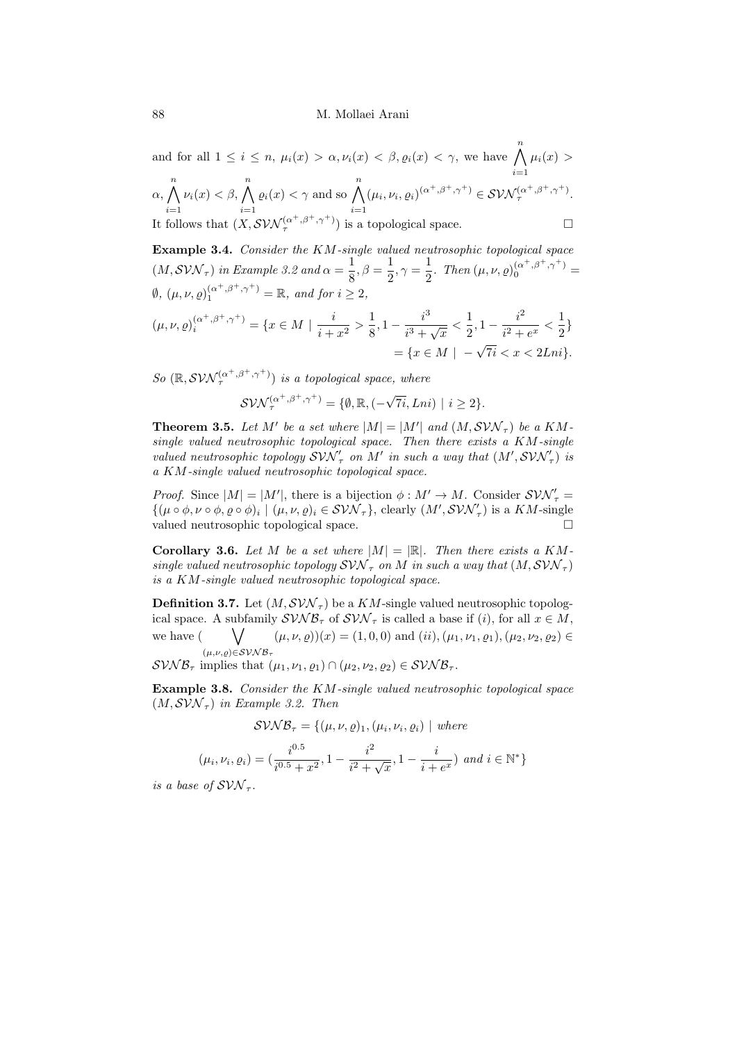and for all  $1 \leq i \leq n$ ,  $\mu_i(x) > \alpha, \nu_i(x) < \beta, \varrho_i(x) < \gamma$ , we have  $\bigwedge^n \mu_i(x) >$  $\alpha, \bigwedge^n \nu_i(x) < \beta, \bigwedge^n \varrho_i(x) < \gamma$  and so  $\bigwedge^n (\mu_i, \nu_i, \varrho_i)^{(\alpha^+, \beta^+, \gamma^+)} \in \mathcal{SVM}_\tau^{(\alpha)}$  $i=1$  $\nu_i(x) < \beta, \bigwedge^n$  $i=1$  $\varrho_i(x) < \gamma$  and so  $\bigwedge^n$  $i=1$  $(\mu_i, \nu_i, \varrho_i)^{(\alpha^+, \beta^+, \gamma^+)} \in \mathcal{SVN}_{\tau}^{(\alpha^+, \beta^+, \gamma^+)}$ . It follows that  $(X, \mathcal{SVN}_{\tau}^{(\alpha^+, \beta^+, \gamma^+)})$  is a topological space.

**Example 3.4.** Consider the KM-single valued neutrosophic topological space  $(M, SVM_{\tau})$  in Example [3.2](#page-4-0) and  $\alpha = \frac{1}{2}$  $\frac{1}{8}, \beta = \frac{1}{2}$  $\frac{1}{2}, \gamma = \frac{1}{2}$  $\frac{1}{2}$ . Then  $(\mu, \nu, \varrho)_{0}^{(\alpha^{+}, \beta^{+}, \gamma^{+})}$  =  $\emptyset$ ,  $(\mu, \nu, \varrho)_{1}^{(\alpha^{+}, \beta^{+}, \gamma^{+})} = \mathbb{R}$ , and for  $i \geq 2$ , i 1 i 3 1  $i^2$ 1

$$
(\mu, \nu, \varrho)^{(\alpha^+, \beta^+, \gamma^+)}_{i} = \{x \in M \mid \frac{i}{i+x^2} > \frac{1}{8}, 1 - \frac{i^3}{i^3 + \sqrt{x}} < \frac{1}{2}, 1 - \frac{i^2}{i^2 + e^x} < \frac{1}{2}\}
$$

$$
= \{x \in M \mid -\sqrt{7i} < x < 2Lni\}.
$$

So  $(\mathbb{R}, \mathcal{SVN}_{\tau}^{(\alpha^+, \beta^+, \gamma^+)})$  is a topological space, where

 $\mathcal{SVM}_{\tau}^{(\alpha^+,\beta^+,\gamma^+)}=\{\emptyset,\mathbb{R},(-\sqrt{\tau^+},\mathbb{R})\}$  $7i, Lni) | i \geq 2$ .

**Theorem 3.5.** Let M' be a set where  $|M| = |M'|$  and  $(M, SVM_{\tau})$  be a KMsingle valued neutrosophic topological space. Then there exists a KM-single valued neutrosophic topology  $SVM'_{\tau}$  on M' in such a way that  $(M',SVN'_{\tau})$  is a KM-single valued neutrosophic topological space.

*Proof.* Since  $|M| = |M'|$ , there is a bijection  $\phi : M' \to M$ . Consider  $SVM'_{\tau} =$  $\{(\mu \circ \phi, \nu \circ \phi, \varrho \circ \phi)_i \mid (\mu, \nu, \varrho)_i \in \mathcal{SVN}_{\tau}\},$  clearly  $(M', \mathcal{SVN}'_{\tau})$  is a  $KM$ -single valued neutrosophic topological space.

**Corollary 3.6.** Let M be a set where  $|M| = |\mathbb{R}|$ . Then there exists a KMsingle valued neutrosophic topology  $SVM_{\tau}$  on M in such a way that  $(M, SVM_{\tau})$ is a KM-single valued neutrosophic topological space.

**Definition 3.7.** Let  $(M, SVM_{\tau})$  be a KM-single valued neutrosophic topological space. A subfamily  $\mathcal{SVNB}_{\tau}$  of  $\mathcal{SVN}_{\tau}$  is called a base if (i), for all  $x \in M$ , we have (  $(\mu,\nu,\rho) \in \mathcal{SVNB}_{\tau}$  $(\mu, \nu, \varrho))(x) = (1, 0, 0)$  and  $(ii), (\mu_1, \nu_1, \varrho_1), (\mu_2, \nu_2, \varrho_2) \in$ 

 $\mathcal{SVMB}_{\tau}$  implies that  $(\mu_1, \nu_1, \varrho_1) \cap (\mu_2, \nu_2, \varrho_2) \in \mathcal{SVMB}_{\tau}$ .

<span id="page-5-0"></span>Example 3.8. Consider the KM-single valued neutrosophic topological space  $(M, SVM<sub>\tau</sub>)$  in Example [3.2.](#page-4-0) Then

$$
SVM\mathcal{B}_{\tau} = \{(\mu, \nu, \varrho)_{1}, (\mu_{i}, \nu_{i}, \varrho_{i}) \mid \text{where}
$$

$$
\mu_{i}, \nu_{i}, \varrho_{i}) = \left(\frac{i^{0.5}}{i^{0.5} + x^{2}}, 1 - \frac{i^{2}}{i^{2} + \sqrt{x}}, 1 - \frac{i}{i + e^{x}}\right) \text{ and } i \in \mathbb{N}^{*}\}
$$

is a base of  $SVM_{\tau}$ .

 $($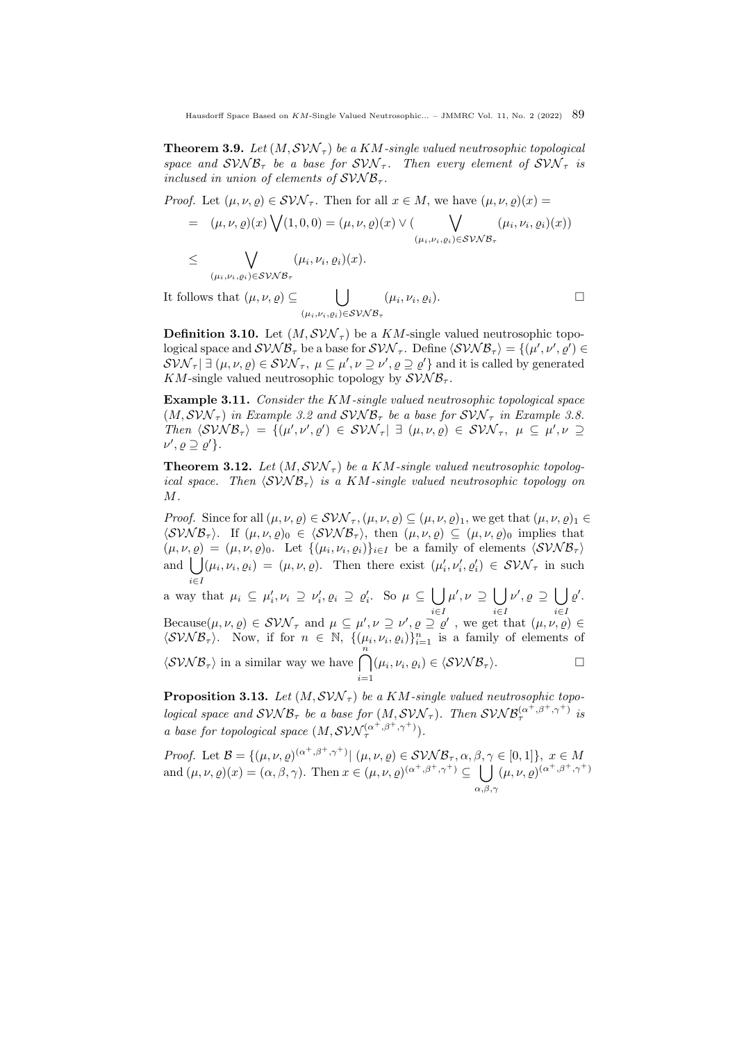**Theorem 3.9.** Let  $(M, \mathcal{SVN}_{\tau})$  be a KM-single valued neutrosophic topological space and  $SVMB_{\tau}$  be a base for  $SVM_{\tau}$ . Then every element of  $SVM_{\tau}$  is inclused in union of elements of  $SVNB_{\tau}$ .

*Proof.* Let  $(\mu, \nu, \rho) \in \mathcal{SVN}_{\tau}$ . Then for all  $x \in M$ , we have  $(\mu, \nu, \rho)(x) =$ 

$$
= (\mu, \nu, \varrho)(x) \bigvee (1, 0, 0) = (\mu, \nu, \varrho)(x) \vee (\bigvee_{(\mu_i, \nu_i, \varrho_i) \in \mathcal{SVNB}_{\tau}} (\mu_i, \nu_i, \varrho_i)(x))
$$
  

$$
\leq \bigvee (\mu_i, \nu_i, \varrho_i)(x).
$$

$$
\mathsf{V}^{\mathsf{V}^{\mathsf{V}^{\mathsf{V}^{\mathsf{V}^{\mathsf{V}^{\mathsf{V}^{\mathsf{V}^{\mathsf{V}^{\mathsf{V}^{\mathsf{V}^{\mathsf{V}^{\mathsf{V}^{\mathsf{V}^{\mathsf{V}^{\mathsf{V}^{\mathsf{V}^{\mathsf{V}^{\mathsf{V}^{\mathsf{V}^{\mathsf{V}^{\mathsf{V}^{\mathsf{V}^{\mathsf{V}^{\mathsf{V}^{\mathsf{V}^{\mathsf{V}^{\mathsf{V}^{\mathsf{V}^{\mathsf{V}^{\mathsf{V}^{\mathsf{V}^{\mathsf{V}^{\mathsf{V}^{\mathsf{V}^{\mathsf{V}^{\mathsf{V}^{\mathsf{V}^{\mathsf{V}^{\mathsf{V}^{\mathsf{V}^{\mathsf{V}^{\mathsf{V}^{\mathsf{V}^{\mathsf{V}^{\mathsf{V}^{\mathsf{V}^{\mathsf{V}^{\mathsf{V}^{\mathsf{V}^{\mathsf{V}^{\mathsf{V}^{\mathsf{V}^{\mathsf{V}^{\mathsf{V}^{\mathsf{V}^{\mathsf{V}^{\mathsf{V}^{\mathsf{V}^{\mathsf{V}^{\mathsf{V}^{\mathsf{V}^{\mathsf{V}^{\mathsf{V}^{\mathsf{V}^{\mathsf{V}^{\mathsf{V}^{\mathsf{V}^{\mathsf{V}^{\mathsf{V}^{\mathsf{V}^{\mathsf{V}^{\mathsf{V}^{\mathsf{V}^{\mathsf{V}^{\mathsf{V}^{\mathsf{V}^{\mathsf{V}^{\mathsf{V}^{\mathsf{V}^{\mathsf{V}^{\mathsf{V}^{\mathsf{V}^{\mathsf{V}^{\mathsf{V}^{\mathsf{V}^{\mathsf{V}^{\mathsf{V}^{\mathsf{V}^{\mathsf{V}^{\mathsf{V}^{\mathsf{V}^{\mathsf{V}^{\mathsf{V}^{\mathsf{V}^{\mathsf{V}^{\mathsf{V}^{\mathsf{V}^{\mathsf{V}^{\mathsf{V}^{\mathsf{V}^{\mathsf{V}^{\mathsf{V}^{\mathsf{V}^{\mathsf{V}^{\mathsf{V}^{\mathsf{V}^{\mathsf{V}^{\mathsf{
$$

It follows that  $(\mu, \nu, \varrho) \subseteq$  |  $(\mu_i,\nu_i,\varrho_i)$ ∈SVN B<sub>τ</sub>  $(\mu_i, \nu_i, \varrho_i).$ 

**Definition 3.10.** Let  $(M, SVM_{\tau})$  be a KM-single valued neutrosophic topological space and  $SVMB_{\tau}$  be a base for  $SVM_{\tau}$ . Define  $\langle SVNB_{\tau} \rangle = {\{\mu', \nu', \varrho'\}} \in$  $\mathcal{SW}_{\tau}$   $\exists (\mu, \nu, \varrho) \in \mathcal{SW}_{\tau}, \ \mu \subseteq \mu', \nu \supseteq \nu', \varrho \supseteq \varrho'$  and it is called by generated KM-single valued neutrosophic topology by  $\mathcal{S} \mathcal{V} \mathcal{N} \mathcal{B}_{\tau}$ .

Example 3.11. Consider the KM-single valued neutrosophic topological space  $(M, SVM_{\tau})$  in Example [3.2](#page-4-0) and  $SVM_{\tau}$  be a base for  $SVM_{\tau}$  in Example [3.8.](#page-5-0) Then  $\langle SVNB_\tau \rangle = \{(\mu',\nu',\varrho') \in SVN_\tau \vert \exists (\mu,\nu,\varrho) \in SVN_\tau, \mu \subseteq \mu',\nu \supseteq$  $\nu', \varrho \supseteq \varrho' \}.$ 

**Theorem 3.12.** Let  $(M, SVM_{\tau})$  be a KM-single valued neutrosophic topological space. Then  $\langle SVN \mathcal{B}_\tau \rangle$  is a KM-single valued neutrosophic topology on M.

*Proof.* Since for all  $(\mu, \nu, \varrho) \in \mathcal{SVN}_{\tau}$ ,  $(\mu, \nu, \varrho) \subseteq (\mu, \nu, \varrho)_1$ , we get that  $(\mu, \nu, \varrho)_1 \in$  $\langle SVNB_\tau \rangle$ . If  $(\mu, \nu, \rho)_0 \in \langle SVNB_\tau \rangle$ , then  $(\mu, \nu, \rho) \subseteq (\mu, \nu, \rho)_0$  implies that  $(\mu, \nu, \varrho) = (\mu, \nu, \varrho)_0$ . Let  $\{(\mu_i, \nu_i, \varrho_i)\}_{i \in I}$  be a family of elements  $\langle SVNB_\tau \rangle$ and  $\bigcup (\mu_i, \nu_i, \varrho_i) = (\mu, \nu, \varrho)$ . Then there exist  $(\mu'_i, \nu'_i, \varrho'_i) \in \mathcal{S} \mathcal{VN}_{\tau}$  in such i∈I

a way that  $\mu_i \subseteq \mu'_i, \nu_i \supseteq \nu'_i, \varrho_i \supseteq \varrho'_i$ . So  $\mu \subseteq \bigcup$ i∈I  $\mu', \nu \supseteq |$ i∈I  $\nu', \varrho \supseteq |$ i∈I  $\varrho'$ . Because $(\mu, \nu, \varrho) \in \mathcal{SVN}_{\tau}$  and  $\mu \subseteq \mu', \nu \supseteq \nu', \varrho \supseteq \varrho'$ , we get that  $(\mu, \nu, \varrho) \in$ 

 $\langle SVNB_{\tau}\rangle$ . Now, if for  $n \in \mathbb{N}$ ,  $\{(\mu_i, \nu_i, \varrho_i)\}_{i=1}^n$  is a family of elements of  $\langle$ SVNB<sub>T</sub> $\rangle$  in a similar way we have  $\bigcap^{n}$  $(\mu_i, \nu_i, \varrho_i) \in \langle \mathcal{SVNB}_{\tau} \rangle.$ 

 $i=1$ 

**Proposition 3.13.** Let  $(M, SVM_{\tau})$  be a KM-single valued neutrosophic topological space and  $SVMB_{\tau}$  be a base for  $(M, SVM_{\tau})$ . Then  $SVMB_{\tau}^{(\alpha^+, \beta^+, \gamma^+)}$  is a base for topological space  $(M, \mathcal{SVN}_{\tau}^{(\alpha^+, \beta^+, \gamma^+)})$ .

Proof. Let  $\mathcal{B} = \{(\mu, \nu, \varrho)^{(\alpha^+, \beta^+, \gamma^+)} | (\mu, \nu, \varrho) \in \mathcal{SVMB}_{\tau}, \alpha, \beta, \gamma \in [0, 1]\}, x \in M$ and  $(\mu, \nu, \varrho)(x) = (\alpha, \beta, \gamma)$ . Then  $x \in (\mu, \nu, \varrho)^{(\alpha^+, \beta^+, \gamma^+)} \subseteq \Box$  $\alpha, \beta, \gamma$  $(\mu, \nu, \varrho)^{(\alpha^+, \beta^+, \gamma^+)}$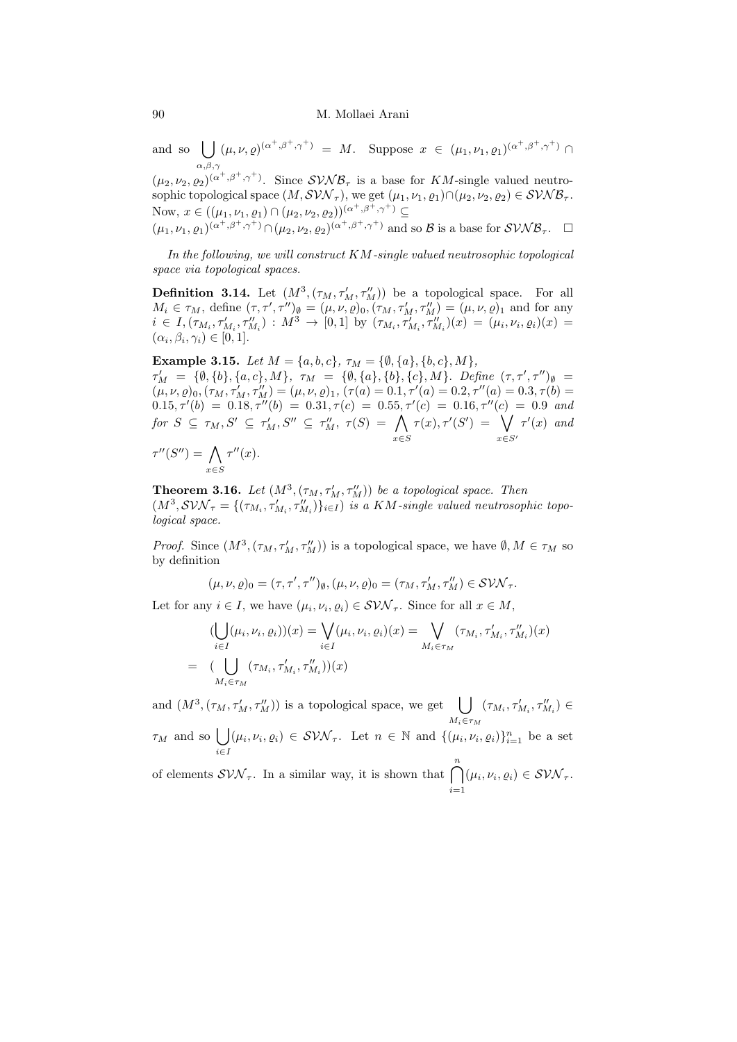and so [  $\alpha, \beta, \gamma$  $(\mu, \nu, \varrho)^{(\alpha^+, \beta^+, \gamma^+)} = M.$  Suppose  $x \in (\mu_1, \nu_1, \varrho_1)^{(\alpha^+, \beta^+, \gamma^+)} \cap$ 

 $(\mu_2, \nu_2, \varrho_2)^{(\alpha^+, \beta^+, \gamma^+)}$ . Since  $SVMB_\tau$  is a base for KM-single valued neutrosophic topological space  $(M, SVM_{\tau})$ , we get  $(\mu_1, \nu_1, \varrho_1) \cap (\mu_2, \nu_2, \varrho_2) \in SVNB_{\tau}$ . Now,  $x \in ((\mu_1, \nu_1, \varrho_1) \cap (\mu_2, \nu_2, \varrho_2))^{(\alpha^+, \beta^+, \gamma^+)} \subseteq$  $(\mu_1, \nu_1, \varrho_1)^{(\alpha^+, \beta^+, \gamma^+)} \cap (\mu_2, \nu_2, \varrho_2)^{(\alpha^+, \beta^+, \gamma^+)}$  and so B is a base for  $\mathcal{SVMB}_{\tau}$ .  $\Box$ 

In the following, we will construct  $KM$ -single valued neutrosophic topological space via topological spaces.

**Definition 3.14.** Let  $(M^3, (\tau_M, \tau_M', \tau_M''))$  be a topological space. For all  $M_i \in \tau_M$ , define  $(\tau, \tau', \tau'')_{\emptyset} = (\mu, \nu, \varrho)_0, (\tau_M, \tau'_M, \tau''_M) = (\mu, \nu, \varrho)_1$  and for any  $i \in I$ ,  $(\tau_{M_i}, \tau'_{M_i}, \tau''_{M_i})$  :  $M^3 \to [0, 1]$  by  $(\tau_{M_i}, \tau'_{M_i}, \tau''_{M_i})(x) = (\mu_i, \nu_i, \varrho_i)(x) =$  $(\alpha_i, \beta_i, \gamma_i) \in [0, 1].$ 

Example 3.15. Let  $M = \{a, b, c\}, \tau_M = \{\emptyset, \{a\}, \{b, c\}, M\},\$  $\tau'_M = \{\emptyset, \{b\}, \{a, c\}, M\}, \tau_M = \{\emptyset, \{a\}, \{b\}, \{c\}, M\}.$  Define  $(\tau, \tau', \tau'')_{\emptyset} =$  $(\mu, \nu, \rho)_0, (\tau_M, \tau'_M, \tau''_M) = (\mu, \nu, \rho)_1, (\tau(a) = 0.1, \tau'(a) = 0.2, \tau''(a) = 0.3, \tau(b) = 0.3$  $(0.15, \tau'(b) = 0.18, \tau''(b) = 0.31, \tau(c) = 0.55, \tau'(c) = 0.16, \tau''(c) = 0.9$  and  $\quad \textit{for} \ \ S \ \subseteq \ \tau_M, S' \ \subseteq \ \tau_M', \, S'' \ \subseteq \ \tau_M'', \ \tau(S) \ = \ \bigwedge$ x∈S  $\tau(x), \tau'(S') = \bigvee$  $x\in S'$  $\tau'(x)$  and  $\tau''(S'') = \bigwedge$ x∈S  $\tau''(x)$ .

**Theorem 3.16.** Let  $(M^3, (\tau_M, \tau_M', \tau_M''))$  be a topological space. Then  $(M^3, SVM_{\tau} = \{(\tau_{M_i}, \tau'_{M_i}, \tau''_{M_i})\}_{i \in I})$  is a KM-single valued neutrosophic topological space.

*Proof.* Since  $(M^3, (\tau_M, \tau_M', \tau_M''))$  is a topological space, we have  $\emptyset, M \in \tau_M$  so by definition

$$
(\mu,\nu,\varrho)_0=(\tau,\tau',\tau'')_{\emptyset},(\mu,\nu,\varrho)_0=(\tau_M,\tau_M',\tau_M'')\in\mathcal{SVN}_{\tau}.
$$

Let for any  $i \in I$ , we have  $(\mu_i, \nu_i, \varrho_i) \in \mathcal{SVN}_{\tau}$ . Since for all  $x \in M$ ,

$$
\begin{aligned} (\bigcup_{i \in I} (\mu_i, \nu_i, \varrho_i))(x) &= \bigvee_{i \in I} (\mu_i, \nu_i, \varrho_i)(x) = \bigvee_{M_i \in \tau_M} (\tau_{M_i}, \tau'_{M_i}, \tau''_{M_i})(x) \\ &= \big(\bigcup_{M_i \in \tau_M} (\tau_{M_i}, \tau'_{M_i}, \tau''_{M_i})\big)(x) \end{aligned}
$$

and  $(M^3, (\tau_M, \tau_M', \tau_M''))$  is a topological space, we get  $\bigcup$  $M_i \in \tau_M$  $(\tau_{M_i},\tau_{M_i}',\tau_{M_i}'')\in$ 

 $\tau_M$  and so  $\vert \ \vert$ i∈I  $(\mu_i, \nu_i, \varrho_i) \in \mathcal{SWN}_{\tau}$ . Let  $n \in \mathbb{N}$  and  $\{(\mu_i, \nu_i, \varrho_i)\}_{i=1}^n$  be a set

of elements  $\mathcal{SVN}_{\tau}$ . In a similar way, it is shown that  $\bigcap_{i}^n(\mu_i, \nu_i, \varrho_i) \in \mathcal{SVN}_{\tau}$ .  $i=1$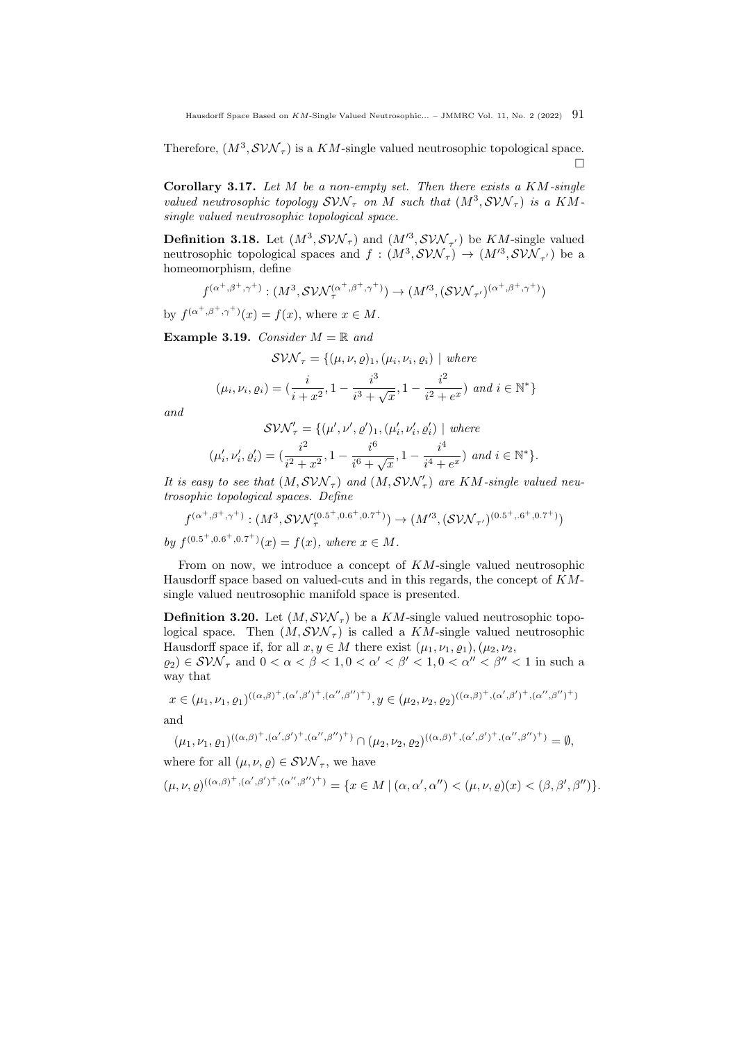Therefore,  $(M^3, \mathcal{SVN}_{\tau})$  is a KM-single valued neutrosophic topological space.  $\Box$ 

Corollary 3.17. Let  $M$  be a non-empty set. Then there exists a  $KM$ -single valued neutrosophic topology  $SVM_{\tau}$  on M such that  $(M^3, SVM_{\tau})$  is a KMsingle valued neutrosophic topological space.

**Definition 3.18.** Let  $(M^3, SVM_{\tau})$  and  $(M'^3, SVN_{\tau'})$  be KM-single valued neutrosophic topological spaces and  $f : (M^3, SVM_\tau) \to (M'^3, SVM_{\tau'})$  be a homeomorphism, define

$$
f^{(\alpha^+,\beta^+,\gamma^+)} : (M^3, \mathcal{SVN}_{\tau}^{(\alpha^+,\beta^+,\gamma^+)}) \to (M^{\prime 3}, (\mathcal{SVN}_{\tau'})^{(\alpha^+,\beta^+,\gamma^+)})
$$

by  $f^{(\alpha^+,\beta^+,\gamma^+)}(x) = f(x)$ , where  $x \in M$ .

<span id="page-8-0"></span>**Example 3.19.** Consider  $M = \mathbb{R}$  and

$$
SVM_{\tau} = \{(\mu, \nu, \varrho)_1, (\mu_i, \nu_i, \varrho_i) \mid \text{where}
$$

$$
(\mu_i, \nu_i, \varrho_i) = (\frac{i}{i + x^2}, 1 - \frac{i^3}{i^3 + \sqrt{x}}, 1 - \frac{i^2}{i^2 + e^x}) \text{ and } i \in \mathbb{N}^*\}
$$

and

$$
\mathcal{S}\mathcal{VN}'_{\tau} = \{ (\mu', \nu', \varrho')_1, (\mu'_i, \nu'_i, \varrho'_i) \mid \text{where} \newline (\mu'_i, \nu'_i, \varrho'_i) = (\frac{i^2}{i^2 + x^2}, 1 - \frac{i^6}{i^6 + \sqrt{x}}, 1 - \frac{i^4}{i^4 + e^x}) \text{ and } i \in \mathbb{N}^* \}.
$$

It is easy to see that  $(M, SVM_{\tau})$  and  $(M, SVN_{\tau}')$  are KM-single valued neutrosophic topological spaces. Define

$$
f^{(\alpha^+,\beta^+,\gamma^+)} : (M^3, \mathcal{SVN}^{(0.5^+,0.6^+,0.7^+)}_{\tau}) \to (M^{\prime 3}, (\mathcal{SVN}_{\tau'})^{(0.5^+,6^+,0.7^+)})
$$

by  $f^{(0.5^+,0.6^+,0.7^+)}(x) = f(x)$ , where  $x \in M$ .

From on now, we introduce a concept of KM-single valued neutrosophic Hausdorff space based on valued-cuts and in this regards, the concept of KMsingle valued neutrosophic manifold space is presented.

**Definition 3.20.** Let  $(M, SVM_{\tau})$  be a KM-single valued neutrosophic topological space. Then  $(M, SVM_{\tau})$  is called a KM-single valued neutrosophic Hausdorff space if, for all  $x, y \in M$  there exist  $(\mu_1, \nu_1, \rho_1), (\mu_2, \nu_2, \rho_2)$  $(\rho_2) \in \mathcal{SW}_{\tau}$  and  $0 < \alpha < \beta < 1, 0 < \alpha' < \beta' < 1, 0 < \alpha'' < \beta'' < 1$  in such a way that

$$
x \in (\mu_1, \nu_1, \varrho_1)^{((\alpha, \beta)^+, (\alpha', \beta')^+, (\alpha'', \beta'')^+)}, y \in (\mu_2, \nu_2, \varrho_2)^{((\alpha, \beta)^+, (\alpha', \beta')^+, (\alpha'', \beta'')^+)}
$$

and

$$
(\mu_1, \nu_1, \varrho_1)^{((\alpha, \beta)^+, (\alpha', \beta')^+, (\alpha'', \beta'')^+)} \cap (\mu_2, \nu_2, \varrho_2)^{((\alpha, \beta)^+, (\alpha', \beta')^+, (\alpha'', \beta'')^+)} = \emptyset,
$$

where for all  $(\mu, \nu, \varrho) \in \mathcal{SVN}_{\tau}$ , we have

 $(\mu, \nu, \rho)^{((\alpha, \beta)^+, (\alpha', \beta')^+, (\alpha'', \beta'')^+)} = \{x \in M \mid (\alpha, \alpha', \alpha'') < (\mu, \nu, \rho)(x) < (\beta, \beta', \beta'')\}.$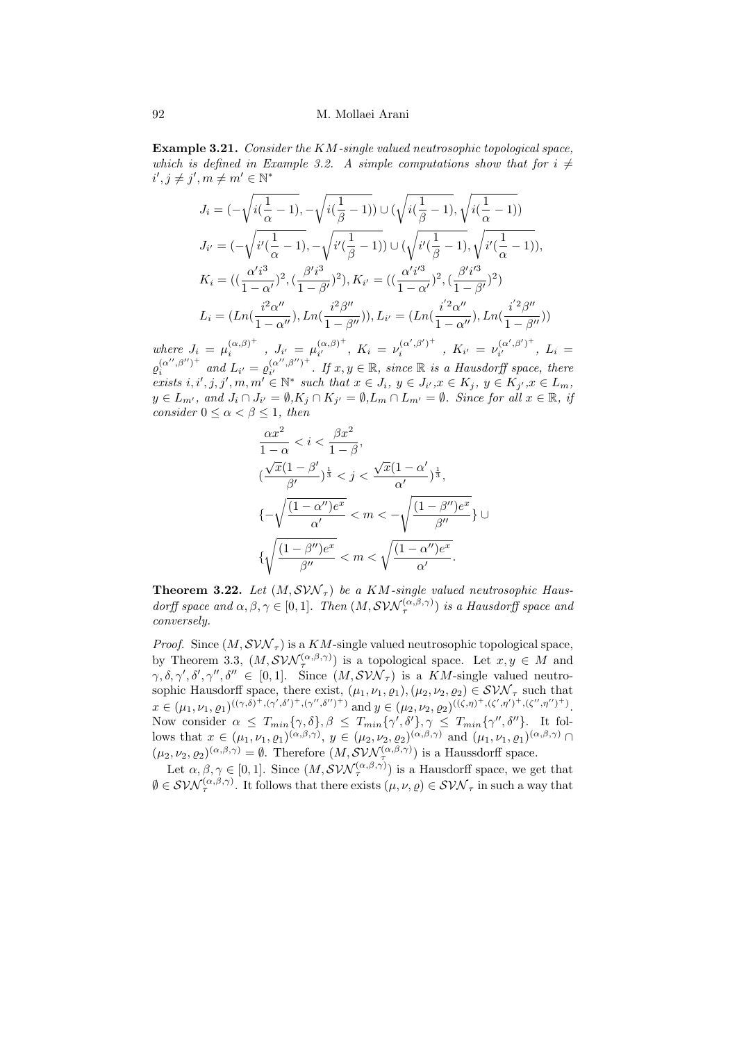<span id="page-9-0"></span>Example 3.21. Consider the KM-single valued neutrosophic topological space, which is defined in Example [3.2.](#page-4-0) A simple computations show that for  $i \neq$  $i', j \neq j', m \neq m' \in \mathbb{N}^*$ 

$$
J_i = (-\sqrt{i(\frac{1}{\alpha} - 1)}, -\sqrt{i(\frac{1}{\beta} - 1)}) \cup (\sqrt{i(\frac{1}{\beta} - 1)}, \sqrt{i(\frac{1}{\alpha} - 1)})
$$
  
\n
$$
J_{i'} = (-\sqrt{i'(\frac{1}{\alpha} - 1)}, -\sqrt{i'(\frac{1}{\beta} - 1)}) \cup (\sqrt{i'(\frac{1}{\beta} - 1)}, \sqrt{i'(\frac{1}{\alpha} - 1)}),
$$
  
\n
$$
K_i = ((\frac{\alpha' i^3}{1 - \alpha'})^2, (\frac{\beta' i^3}{1 - \beta'})^2), K_{i'} = ((\frac{\alpha' i'^3}{1 - \alpha'})^2, (\frac{\beta' i'^3}{1 - \beta'})^2)
$$
  
\n
$$
L_i = (Ln(\frac{i^2 \alpha''}{1 - \alpha''}), Ln(\frac{i^2 \beta''}{1 - \beta''})), L_{i'} = (Ln(\frac{i'^2 \alpha''}{1 - \alpha''}), Ln(\frac{i'^2 \beta''}{1 - \beta''}))
$$

where  $J_i = \mu_i^{(\alpha,\beta)^+}$  $\int_{i}^{(\alpha,\beta)^{+}}$ ,  $J_{i'} = \mu_{i'}^{(\alpha,\beta)^{+}}$  $(\alpha, \beta)^+$ ,  $K_i = \nu_i^{(\alpha', \beta')^+}$  $\mu_i^{(\alpha',\beta')^+}$  ,  $K_{i'} = \nu_{i'}^{(\alpha',\beta')^+}$  $U_i^{(\alpha_-, \beta_-)}$ ,  $L_i =$  $\varrho_i^{(\alpha'',\beta'')^+}$  $\int_{i}^{(\alpha'',\beta'')^+}$  and  $L_{i'} = \varrho_{i'}^{(\alpha'',\beta'')^+}$  $(\alpha'', \beta'')^+$ . If  $x, y \in \mathbb{R}$ , since  $\mathbb{R}$  is a Hausdorff space, there exists  $i, i', j, j', m, m' \in \mathbb{N}^*$  such that  $x \in J_i$ ,  $y \in J_{i'}, x \in K_j$ ,  $y \in K_{j'}, x \in L_m$ ,  $y \in L_{m'}$ , and  $J_i \cap J_{i'} = \emptyset, K_j \cap K_{j'} = \emptyset, L_m \cap L_{m'} = \emptyset$ . Since for all  $x \in \mathbb{R}$ , if consider  $0 \leq \alpha < \beta \leq 1$ , then

$$
\frac{\alpha x^2}{1-\alpha} < i < \frac{\beta x^2}{1-\beta},
$$
\n
$$
(\frac{\sqrt{x}(1-\beta')}{\beta'})^{\frac{1}{3}} < j < \frac{\sqrt{x}(1-\alpha')}{\alpha'}^{\frac{1}{3}},
$$
\n
$$
\{-\sqrt{\frac{(1-\alpha'')e^x}{\alpha'}} < m < -\sqrt{\frac{(1-\beta'')e^x}{\beta''}}\} \cup \{\sqrt{\frac{(1-\beta'')e^x}{\beta''}} < m < \sqrt{\frac{(1-\alpha'')e^x}{\alpha'}}.
$$

<span id="page-9-1"></span>**Theorem 3.22.** Let  $(M, SVM<sub>\tau</sub>)$  be a KM-single valued neutrosophic Hausdorff space and  $\alpha, \beta, \gamma \in [0, 1]$ . Then  $(M, \mathcal{SVN}_{\tau}^{(\alpha, \beta, \gamma)})$  is a Hausdorff space and conversely.

*Proof.* Since  $(M, SVM_{\tau})$  is a KM-single valued neutrosophic topological space, by Theorem [3.3,](#page-4-1)  $(M, \mathcal{SVN}_{\tau}^{(\alpha,\beta,\gamma)})$  is a topological space. Let  $x, y \in M$  and  $\gamma, \delta, \gamma', \delta', \gamma'', \delta'' \in [0,1].$  Since  $(M, SVM_{\tau})$  is a KM-single valued neutrosophic Hausdorff space, there exist,  $(\mu_1, \nu_1, \varrho_1), (\mu_2, \nu_2, \varrho_2) \in \mathcal{SVN}_{\tau}$  such that  $x \in (\mu_1, \nu_1, \varrho_1)^{((\gamma, \delta)^+, (\gamma', \delta')^+, (\gamma'', \delta'')^+)}$  and  $y \in (\mu_2, \nu_2, \varrho_2)^{((\zeta, \eta)^+, (\zeta', \eta')^+, (\zeta'', \eta'')^+)}$ . Now consider  $\alpha \leq T_{min}\{\gamma,\delta\}, \beta \leq T_{min}\{\gamma',\delta'\}, \gamma \leq T_{min}\{\gamma'',\delta''\}.$  It follows that  $x \in (\mu_1, \nu_1, \varrho_1)^{(\alpha, \beta, \gamma)}$ ,  $y \in (\mu_2, \nu_2, \varrho_2)^{(\alpha, \beta, \gamma)}$  and  $(\mu_1, \nu_1, \varrho_1)^{(\alpha, \beta, \gamma)}$  $(\mu_2, \nu_2, \varrho_2)^{(\alpha,\beta,\gamma)} = \emptyset$ . Therefore  $(M, \mathcal{SVN}_{\tau}^{(\alpha,\beta,\gamma)})$  is a Haussdorff space.

Let  $\alpha, \beta, \gamma \in [0, 1]$ . Since  $(M, SVM_{\tau}^{(\alpha, \beta, \gamma)})$  is a Hausdorff space, we get that  $\emptyset \in \mathcal{SVN}_{\tau}^{(\alpha,\beta,\gamma)}$ . It follows that there exists  $(\mu,\nu,\varrho) \in \mathcal{SVN}_{\tau}$  in such a way that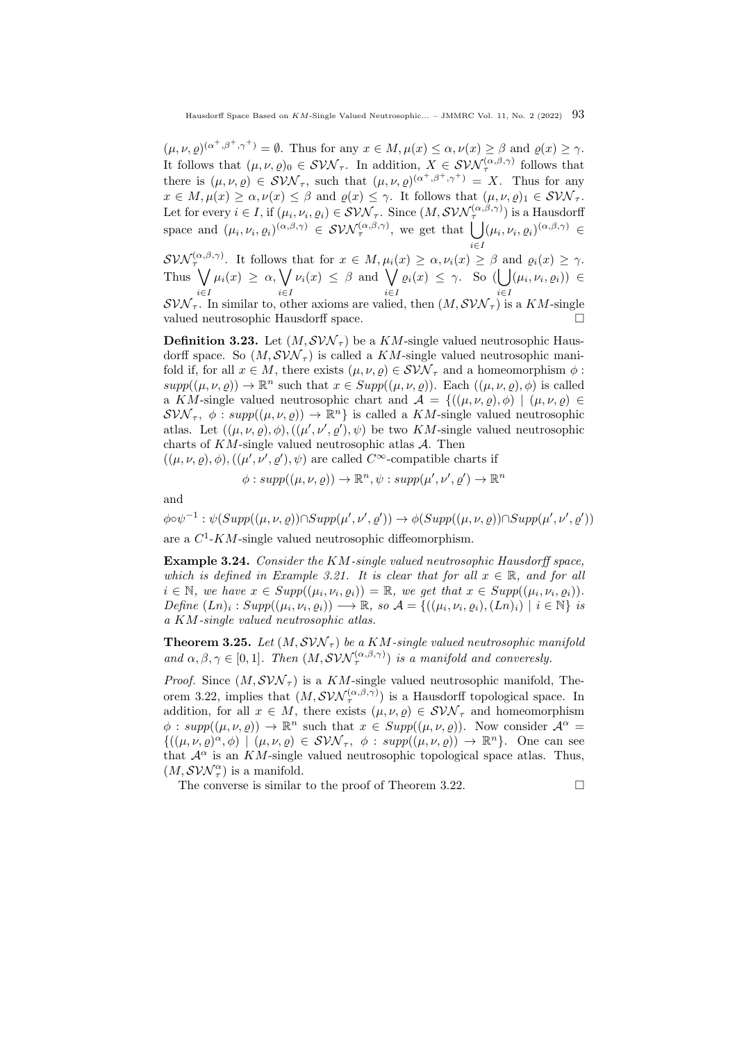$(\mu, \nu, \varrho)^{(\alpha^+, \beta^+, \gamma^+)} = \emptyset$ . Thus for any  $x \in M, \mu(x) \leq \alpha, \nu(x) \geq \beta$  and  $\varrho(x) \geq \gamma$ . It follows that  $(\mu, \nu, \rho)_0 \in \mathcal{SVN}_{\tau}$ . In addition,  $X \in \mathcal{SVN}_{\tau}^{(\alpha,\beta,\gamma)}$  follows that there is  $(\mu, \nu, \varrho) \in \mathcal{SVN}_{\tau}$ , such that  $(\mu, \nu, \varrho)^{(\alpha^+, \beta^+, \gamma^+)} = X$ . Thus for any  $x \in M, \mu(x) \ge \alpha, \nu(x) \le \beta$  and  $\rho(x) \le \gamma$ . It follows that  $(\mu, \nu, \rho)_1 \in \mathcal{SVN}_{\tau}$ . Let for every  $i \in I$ , if  $(\mu_i, \nu_i, \varrho_i) \in \mathcal{SVN}_{\tau}$ . Since  $(M, \mathcal{SVN}_{\tau}^{(\alpha,\beta,\gamma)})$  is a Hausdorff space and  $(\mu_i, \nu_i, \varrho_i)^{(\alpha,\beta,\gamma)} \in \mathcal{SWN}_{\tau}^{(\alpha,\beta,\gamma)}$ , we get that  $\bigcup (\mu_i, \nu_i, \varrho_i)^{(\alpha,\beta,\gamma)} \in$ 

 $\mathcal{SWN}_{\tau}^{(\alpha,\beta,\gamma)}$ . It follows that for  $x \in M, \mu_i(x) \geq \alpha, \nu_i(x) \geq \beta$  and  $\varrho_i(x) \geq \gamma$ . Thus  $\sqrt{}$ i∈I  $\mu_i(x) \geq \alpha, \bigvee$ i∈I  $\nu_i(x) \leq \beta$  and  $\bigvee$ i∈I  $\varrho_i(x) \leq \gamma$ . So (| ] i∈I  $(\mu_i, \nu_i, \varrho_i)) \in$  $SVM_{\tau}$ . In similar to, other axioms are valied, then  $(M, SVM_{\tau})$  is a KM-single valued neutrosophic Hausdorff space.

**Definition 3.23.** Let  $(M, SVM_{\tau})$  be a KM-single valued neutrosophic Hausdorff space. So  $(M, SVM_{\tau})$  is called a KM-single valued neutrosophic manifold if, for all  $x \in M$ , there exists  $(\mu, \nu, \rho) \in \mathcal{SVN}_{\tau}$  and a homeomorphism  $\phi$ :  $supp((\mu,\nu,\varrho)) \to \mathbb{R}^n$  such that  $x \in Supp((\mu,\nu,\varrho))$ . Each  $((\mu,\nu,\varrho),\varphi)$  is called a KM-single valued neutrosophic chart and  $\mathcal{A} = \{((\mu, \nu, \rho), \phi) \mid (\mu, \nu, \rho) \in$  $\mathcal{SW}_{\tau}$ ,  $\phi: supp((\mu, \nu, \rho)) \to \mathbb{R}^n$  is called a KM-single valued neutrosophic atlas. Let  $((\mu, \nu, \rho), \phi), ((\mu', \nu', \rho'), \psi)$  be two KM-single valued neutrosophic charts of  $KM$ -single valued neutrosophic atlas  $\mathcal A$ . Then

 $((\mu, \nu, \varrho), \phi), ((\mu', \nu', \varrho'), \psi)$  are called  $C^{\infty}$ -compatible charts if

$$
\phi: supp((\mu, \nu, \varrho)) \to \mathbb{R}^n, \psi: supp(\mu', \nu', \varrho') \to \mathbb{R}^n
$$

and

 $\phi \circ \psi^{-1} : \psi(Supp((\mu, \nu, \varrho)) \cap Supp(\mu', \nu', \varrho')) \to \phi(Supp((\mu, \nu, \varrho)) \cap Supp(\mu', \nu', \varrho'))$ are a  $C^1$ -KM-single valued neutrosophic diffeomorphism.

Example 3.24. Consider the KM-single valued neutrosophic Hausdorff space, which is defined in Example [3.21.](#page-9-0) It is clear that for all  $x \in \mathbb{R}$ , and for all  $i \in \mathbb{N}$ , we have  $x \in Supp((\mu_i, \nu_i, \varrho_i)) = \mathbb{R}$ , we get that  $x \in Supp((\mu_i, \nu_i, \varrho_i))$ . Define  $(Ln)_i : Supp((\mu_i, \nu_i, \varrho_i)) \longrightarrow \mathbb{R}$ , so  $\mathcal{A} = \{((\mu_i, \nu_i, \varrho_i), (Ln)_i) \mid i \in \mathbb{N}\}$  is a KM-single valued neutrosophic atlas.

**Theorem 3.25.** Let  $(M, SVM_{\tau})$  be a KM-single valued neutrosophic manifold and  $\alpha, \beta, \gamma \in [0,1]$ . Then  $(M, \mathcal{SVN}_{\tau}^{(\alpha,\beta,\gamma)})$  is a manifold and converesly.

*Proof.* Since  $(M, SVM_{\tau})$  is a KM-single valued neutrosophic manifold, The-orem [3.22,](#page-9-1) implies that  $(M, \mathcal{SVN}_{\tau}^{(\alpha,\beta,\gamma)})$  is a Hausdorff topological space. In addition, for all  $x \in M$ , there exists  $(\mu, \nu, \rho) \in \mathcal{SVN}_{\tau}$  and homeomorphism  $\phi: supp((\mu, \nu, \rho)) \to \mathbb{R}^n$  such that  $x \in Supp((\mu, \nu, \rho))$ . Now consider  $\mathcal{A}^{\alpha} =$  $\{((\mu,\nu,\varrho)^{\alpha},\phi) \mid (\mu,\nu,\varrho) \in \mathcal{SVN}_{\tau}, \phi : supp((\mu,\nu,\varrho)) \to \mathbb{R}^n\}.$  One can see that  $\mathcal{A}^{\alpha}$  is an KM-single valued neutrosophic topological space atlas. Thus,  $(M, SVM_{\tau}^{\alpha})$  is a manifold.

The converse is similar to the proof of Theorem [3.22.](#page-9-1)  $\Box$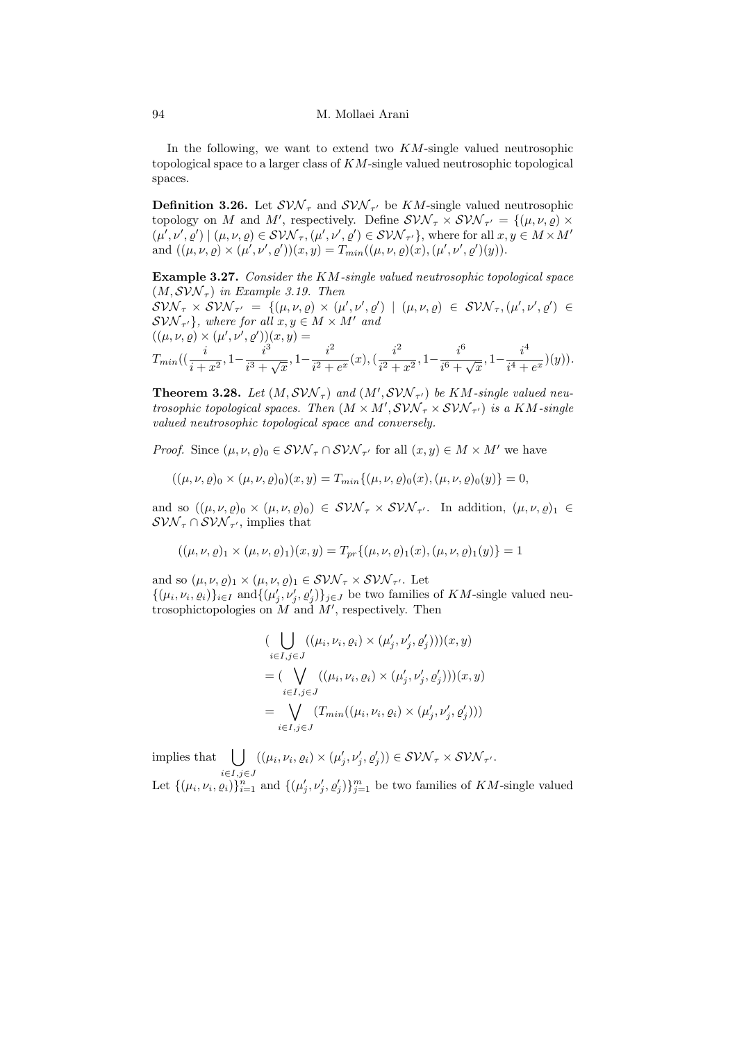94 M. Mollaei Arani

In the following, we want to extend two  $KM$ -single valued neutrosophic topological space to a larger class of KM-single valued neutrosophic topological spaces.

**Definition 3.26.** Let  $\mathcal{SVN}_{\tau}$  and  $\mathcal{SVN}_{\tau'}$  be  $KM$ -single valued neutrosophic topology on M and M', respectively. Define  $SVM_{\tau} \times SVM_{\tau'} = \{(\mu, \nu, \rho) \times$  $(\mu', \nu', \varrho') | (\mu, \nu, \varrho) \in \mathcal{SVM}_{\tau}, (\mu', \nu', \varrho') \in \mathcal{SVM}_{\tau'}\},$  where for all  $x, y \in M \times M'$ and  $((\mu, \nu, \varrho) \times (\mu', \nu', \varrho'))(x, y) = T_{min}((\mu, \nu, \varrho)(x), (\mu', \nu', \varrho')(y)).$ 

Example 3.27. Consider the KM-single valued neutrosophic topological space  $(M, SVM<sub>\tau</sub>)$  in Example [3.19.](#page-8-0) Then  $SVM_{\tau} \times SVM_{\tau'} = \{(\mu, \nu, \varrho) \times (\mu', \nu', \varrho') \mid (\mu, \nu, \varrho) \in SVM_{\tau}, (\mu', \nu', \varrho') \in$  $\mathcal{S} \mathcal{V} \mathcal{N}_{\tau'}$ , where for all  $x, y \in M \times M'$  and  $((\mu, \nu, \varrho) \times (\mu', \nu', \varrho'))(x, y) =$  $T_{min}((\frac{i}{i+x^2}, 1-\frac{i^3}{i^3+1})$  $\frac{i^3}{i^3 + \sqrt{x}}, 1 - \frac{i^2}{i^2 + \sqrt{x}}$  $\frac{i^2}{i^2+e^x}(x), \left(\frac{i^2}{i^2+e^x}\right)$  $\frac{i^2}{i^2+x^2}$ ,  $1-\frac{i^6}{i^6+1}$  $\frac{i^6}{i^6 + \sqrt{x}}, 1 - \frac{i^4}{i^4 + \sqrt{x}}$  $\frac{c}{i^4 + e^x}(y)).$ 

**Theorem 3.28.** Let  $(M, SVM_{\tau})$  and  $(M', SVN_{\tau'})$  be KM-single valued neutrosophic topological spaces. Then  $(M \times M', SVM_{\tau} \times SVM_{\tau'})$  is a KM-single valued neutrosophic topological space and conversely.

*Proof.* Since  $(\mu, \nu, \varrho)_0 \in \mathcal{SVN}_{\tau} \cap \mathcal{SVN}_{\tau'}$  for all  $(x, y) \in M \times M'$  we have

$$
((\mu, \nu, \varrho)_0 \times (\mu, \nu, \varrho)_0)(x, y) = T_{min}\{(\mu, \nu, \varrho)_0(x), (\mu, \nu, \varrho)_0(y)\} = 0,
$$

and so  $((\mu, \nu, \varrho)_0 \times (\mu, \nu, \varrho)_0) \in \mathcal{SVM}_{\tau} \times \mathcal{SVM}_{\tau'}$ . In addition,  $(\mu, \nu, \varrho)_1 \in$  $\mathcal{S} \mathcal{VN}_\tau \cap \mathcal{S} \mathcal{VN}_{\tau'}$ , implies that

$$
((\mu, \nu, \varrho)_1 \times (\mu, \nu, \varrho)_1)(x, y) = T_{pr}\{(\mu, \nu, \varrho)_1(x), (\mu, \nu, \varrho)_1(y)\} = 1
$$

and so  $(\mu, \nu, \varrho)_1 \times (\mu, \nu, \varrho)_1 \in \mathcal{SVN}_{\tau} \times \mathcal{SVN}_{\tau'}$ . Let  $\{(\mu_i, \nu_i, \varrho_i)\}_{i \in I}$  and  $\{(\mu'_j, \nu'_j, \varrho'_j)\}_{j \in J}$  be two families of KM-single valued neutrosophictopologies on  $\tilde{M}$  and  $M'$ , respectively. Then

$$
\begin{aligned}\n&\big(\bigcup_{i\in I,j\in J} ((\mu_i,\nu_i,\varrho_i)\times(\mu'_j,\nu'_j,\varrho'_j))\big)(x,y) \\
&= \big(\bigvee_{i\in I,j\in J} ((\mu_i,\nu_i,\varrho_i)\times(\mu'_j,\nu'_j,\varrho'_j))\big)(x,y) \\
&= \bigvee_{i\in I,j\in J} (T_{min}((\mu_i,\nu_i,\varrho_i)\times(\mu'_j,\nu'_j,\varrho'_j)))\n\end{aligned}
$$

implies that  $\vert \ \vert$  $i \in I, j \in J$  $((\mu_i, \nu_i, \varrho_i) \times (\mu'_j, \nu'_j, \varrho'_j)) \in \mathcal{SVN}_{\tau} \times \mathcal{SVN}_{\tau'}.$ Let  $\{(\mu_i, \nu_i, \varrho_i)\}_{i=1}^n$  and  $\{(\mu'_j, \nu'_j, \varrho'_j)\}_{j=1}^m$  be two families of KM-single valued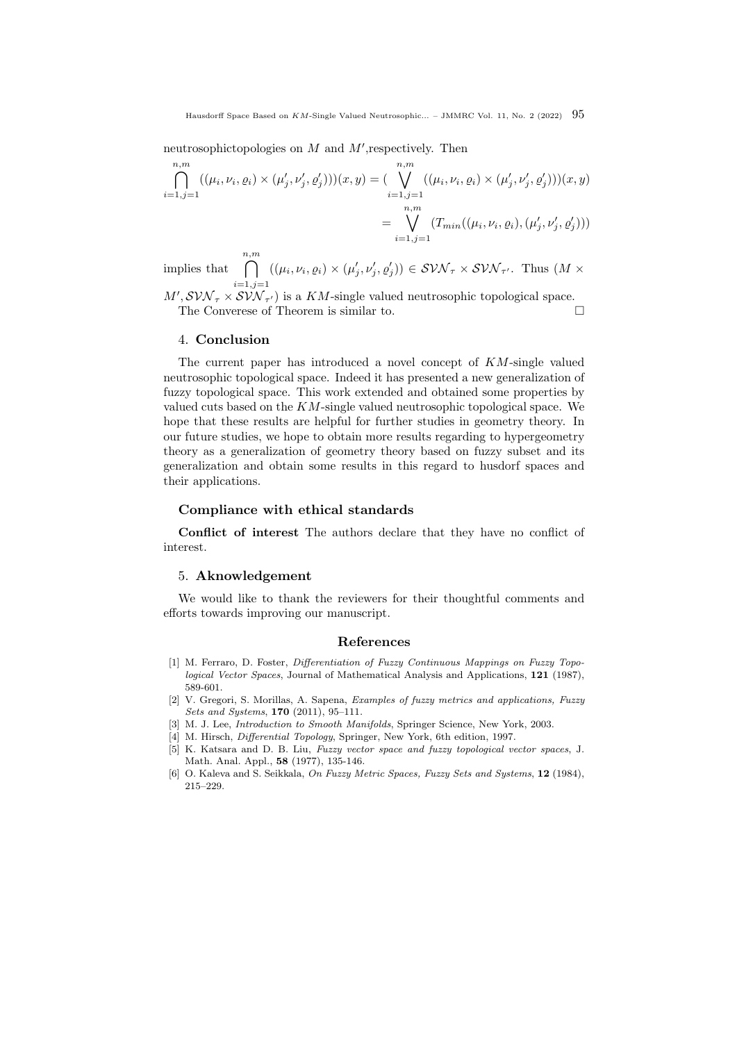neutrosophictopologies on  $M$  and  $M'$ , respectively. Then

$$
\bigcap_{i=1,j=1}^{n,m} ((\mu_i, \nu_i, \varrho_i) \times (\mu'_j, \nu'_j, \varrho'_j)))(x, y) = (\bigvee_{i=1,j=1}^{n,m} ((\mu_i, \nu_i, \varrho_i) \times (\mu'_j, \nu'_j, \varrho'_j)))(x, y)
$$
\n
$$
= \bigvee_{i=1,j=1}^{n,m} (T_{min}((\mu_i, \nu_i, \varrho_i), (\mu'_j, \nu'_j, \varrho'_j)))
$$

implies that n,m $\cap$  $i=1,j=1$  $((\mu_i, \nu_i, \varrho_i) \times (\mu'_j, \nu'_j, \varrho'_j)) \in \mathcal{SVM}_{\tau} \times \mathcal{SVM}_{\tau'}$ . Thus  $(M \times$ 

 $M', SVM_{\tau} \times SVM_{\tau'}$  is a KM-single valued neutrosophic topological space. The Converese of Theorem is similar to.

#### 4. Conclusion

The current paper has introduced a novel concept of KM-single valued neutrosophic topological space. Indeed it has presented a new generalization of fuzzy topological space. This work extended and obtained some properties by valued cuts based on the KM-single valued neutrosophic topological space. We hope that these results are helpful for further studies in geometry theory. In our future studies, we hope to obtain more results regarding to hypergeometry theory as a generalization of geometry theory based on fuzzy subset and its generalization and obtain some results in this regard to husdorf spaces and their applications.

## Compliance with ethical standards

Conflict of interest The authors declare that they have no conflict of interest.

#### 5. Aknowledgement

We would like to thank the reviewers for their thoughtful comments and efforts towards improving our manuscript.

## References

- <span id="page-12-3"></span>[1] M. Ferraro, D. Foster, Differentiation of Fuzzy Continuous Mappings on Fuzzy Topological Vector Spaces, Journal of Mathematical Analysis and Applications, 121 (1987), 589-601.
- <span id="page-12-0"></span>[2] V. Gregori, S. Morillas, A. Sapena, Examples of fuzzy metrics and applications, Fuzzy Sets and Systems, 170 (2011), 95–111.
- <span id="page-12-5"></span>[3] M. J. Lee, Introduction to Smooth Manifolds, Springer Science, New York, 2003.
- <span id="page-12-2"></span>[4] M. Hirsch, Differential Topology, Springer, New York, 6th edition, 1997.
- <span id="page-12-4"></span>[5] K. Katsara and D. B. Liu, Fuzzy vector space and fuzzy topological vector spaces, J. Math. Anal. Appl., 58 (1977), 135-146.
- <span id="page-12-1"></span>[6] O. Kaleva and S. Seikkala, On Fuzzy Metric Spaces, Fuzzy Sets and Systems, 12 (1984), 215–229.